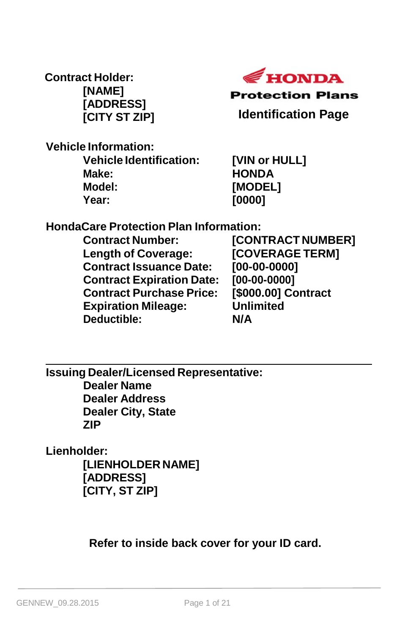**Contract Holder: [NAME] [ADDRESS] [CITY ST ZIP]**



**Vehicle Information:**

**Vehicle Identification: [VIN or HULL] Make: HONDA Year: [0000]**

**Model: [MODEL]**

# **HondaCare Protection Plan Information:**

**Contract Number: [CONTRACT NUMBER] Length of Coverage:** [COVERAGE<br> **Contract Issuance Date: [00-00-0000] Contract Issuance Date: [00-00-0000] Contract Expiration Date: [00-00-0000] Contract Purchase Price: [\$000.00] Contract Expiration Mileage: Unlimited** Unlimited Deductible:

**Issuing Dealer/Licensed Representative: Dealer Name Dealer Address Dealer City, State ZIP**

**Lienholder:**

**[LIENHOLDER NAME] [ADDRESS] [CITY, ST ZIP]**

**Refer to inside back cover for your ID card.**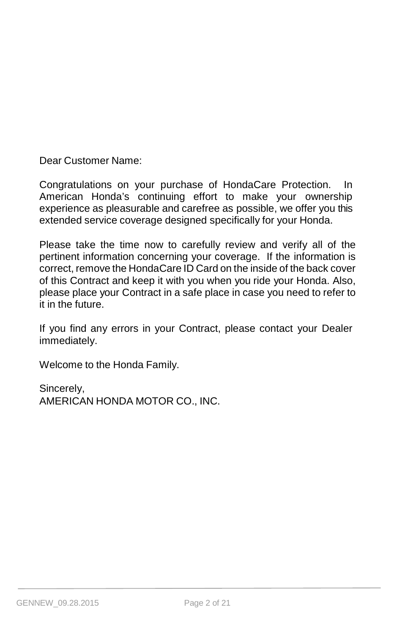Dear Customer Name:

Congratulations on your purchase of HondaCare Protection. In American Honda's continuing effort to make your ownership experience as pleasurable and carefree as possible, we offer you this extended service coverage designed specifically for your Honda.

Please take the time now to carefully review and verify all of the pertinent information concerning your coverage. If the information is correct, remove the HondaCare ID Card on the inside of the back cover of this Contract and keep it with you when you ride your Honda. Also, please place your Contract in a safe place in case you need to refer to it in the future.

If you find any errors in your Contract, please contact your Dealer immediately.

Welcome to the Honda Family.

Sincerely, AMERICAN HONDA MOTOR CO., INC.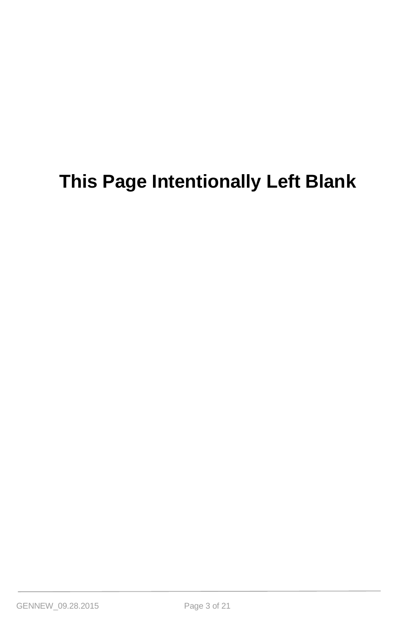# **This Page Intentionally Left Blank**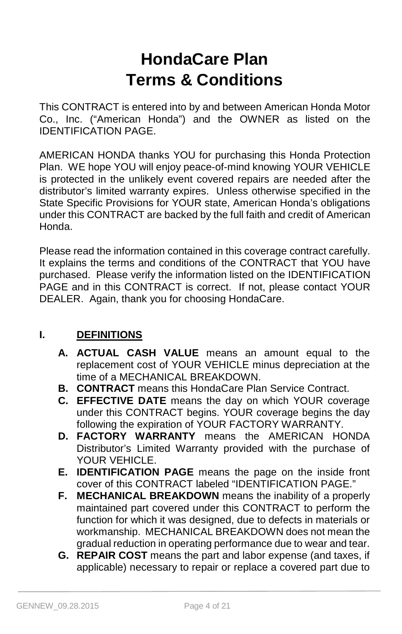# **HondaCare Plan Terms & Conditions**

This CONTRACT is entered into by and between American Honda Motor Co., Inc. ("American Honda") and the OWNER as listed on the IDENTIFICATION PAGE.

AMERICAN HONDA thanks YOU for purchasing this Honda Protection Plan. WE hope YOU will enjoy peace-of-mind knowing YOUR VEHICLE is protected in the unlikely event covered repairs are needed after the distributor's limited warranty expires. Unless otherwise specified in the State Specific Provisions for YOUR state, American Honda's obligations under this CONTRACT are backed by the full faith and credit of American Honda.

Please read the information contained in this coverage contract carefully. It explains the terms and conditions of the CONTRACT that YOU have purchased. Please verify the information listed on the IDENTIFICATION PAGE and in this CONTRACT is correct. If not, please contact YOUR DEALER. Again, thank you for choosing HondaCare.

# **I. DEFINITIONS**

- **A. ACTUAL CASH VALUE** means an amount equal to the replacement cost of YOUR VEHICLE minus depreciation at the time of a MECHANICAL BREAKDOWN.
- **B. CONTRACT** means this HondaCare Plan Service Contract.
- **C. EFFECTIVE DATE** means the day on which YOUR coverage under this CONTRACT begins. YOUR coverage begins the day following the expiration of YOUR FACTORY WARRANTY.
- **D. FACTORY WARRANTY** means the AMERICAN HONDA Distributor's Limited Warranty provided with the purchase of YOUR VEHICLE.
- **E. IDENTIFICATION PAGE** means the page on the inside front cover of this CONTRACT labeled "IDENTIFICATION PAGE."
- **F. MECHANICAL BREAKDOWN** means the inability of a properly maintained part covered under this CONTRACT to perform the function for which it was designed, due to defects in materials or workmanship. MECHANICAL BREAKDOWN does not mean the gradual reduction in operating performance due to wear and tear.
- **G. REPAIR COST** means the part and labor expense (and taxes, if applicable) necessary to repair or replace a covered part due to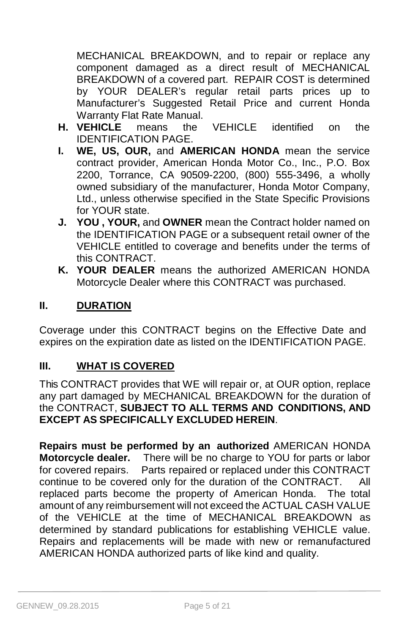MECHANICAL BREAKDOWN, and to repair or replace any component damaged as a direct result of MECHANICAL BREAKDOWN of a covered part. REPAIR COST is determined by YOUR DEALER's regular retail parts prices up to Manufacturer's Suggested Retail Price and current Honda Warranty Flat Rate Manual.

- **H. VEHICLE** means the VEHICLE identified on the IDENTIFICATION PAGE.
- **I. WE, US, OUR,** and **AMERICAN HONDA** mean the service contract provider, American Honda Motor Co., Inc., P.O. Box 2200, Torrance, CA 90509-2200, (800) 555-3496, a wholly owned subsidiary of the manufacturer, Honda Motor Company, Ltd., unless otherwise specified in the State Specific Provisions for YOUR state.
- **J. YOU , YOUR,** and **OWNER** mean the Contract holder named on the IDENTIFICATION PAGE or a subsequent retail owner of the VEHICLE entitled to coverage and benefits under the terms of this CONTRACT.
- **K. YOUR DEALER** means the authorized AMERICAN HONDA Motorcycle Dealer where this CONTRACT was purchased.

#### **II. DURATION**

Coverage under this CONTRACT begins on the Effective Date and expires on the expiration date as listed on the IDENTIFICATION PAGE.

# **III. WHAT IS COVERED**

This CONTRACT provides that WE will repair or, at OUR option, replace any part damaged by MECHANICAL BREAKDOWN for the duration of the CONTRACT, **SUBJECT TO ALL TERMS AND CONDITIONS, AND EXCEPT AS SPECIFICALLY EXCLUDED HEREIN**.

**Repairs must be performed by an authorized** AMERICAN HONDA **Motorcycle dealer.** There will be no charge to YOU for parts or labor for covered repairs. Parts repaired or replaced under this CONTRACT continue to be covered only for the duration of the CONTRACT. All replaced parts become the property of American Honda. The total amount of any reimbursement will not exceed the ACTUAL CASH VALUE of the VEHICLE at the time of MECHANICAL BREAKDOWN as determined by standard publications for establishing VEHICLE value. Repairs and replacements will be made with new or remanufactured AMERICAN HONDA authorized parts of like kind and quality.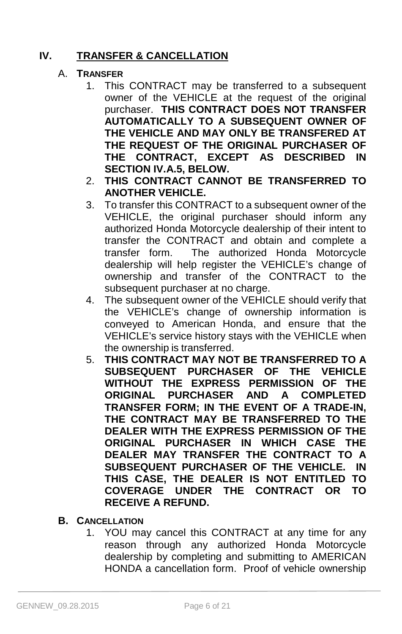# **IV. TRANSFER & CANCELLATION**

#### A. **TRANSFER**

- 1. This CONTRACT may be transferred to a subsequent owner of the VEHICLE at the request of the original purchaser. **THIS CONTRACT DOES NOT TRANSFER AUTOMATICALLY TO A SUBSEQUENT OWNER OF THE VEHICLE AND MAY ONLY BE TRANSFERED AT THE REQUEST OF THE ORIGINAL PURCHASER OF THE CONTRACT, EXCEPT AS DESCRIBED IN SECTION IV.A.5, BELOW.**
- 2. **THIS CONTRACT CANNOT BE TRANSFERRED TO ANOTHER VEHICLE.**
- 3. To transfer this CONTRACT to a subsequent owner of the VEHICLE, the original purchaser should inform any authorized Honda Motorcycle dealership of their intent to transfer the CONTRACT and obtain and complete a transfer form. The authorized Honda Motorcycle dealership will help register the VEHICLE's change of ownership and transfer of the CONTRACT to the subsequent purchaser at no charge.
- 4. The subsequent owner of the VEHICLE should verify that the VEHICLE's change of ownership information is conveyed to American Honda, and ensure that the VEHICLE's service history stays with the VEHICLE when the ownership is transferred.
- 5. **THIS CONTRACT MAY NOT BE TRANSFERRED TO A SUBSEQUENT PURCHASER OF THE VEHICLE WITHOUT THE EXPRESS PERMISSION OF THE ORIGINAL PURCHASER AND A TRANSFER FORM; IN THE EVENT OF A TRADE-IN, THE CONTRACT MAY BE TRANSFERRED TO THE DEALER WITH THE EXPRESS PERMISSION OF THE ORIGINAL PURCHASER IN WHICH CASE THE DEALER MAY TRANSFER THE CONTRACT TO A SUBSEQUENT PURCHASER OF THE VEHICLE. IN THIS CASE, THE DEALER IS NOT ENTITLED TO COVERAGE UNDER THE CONTRACT OR TO RECEIVE A REFUND.**

#### **B. CANCELLATION**

1. YOU may cancel this CONTRACT at any time for any reason through any authorized Honda Motorcycle dealership by completing and submitting to AMERICAN HONDA a cancellation form. Proof of vehicle ownership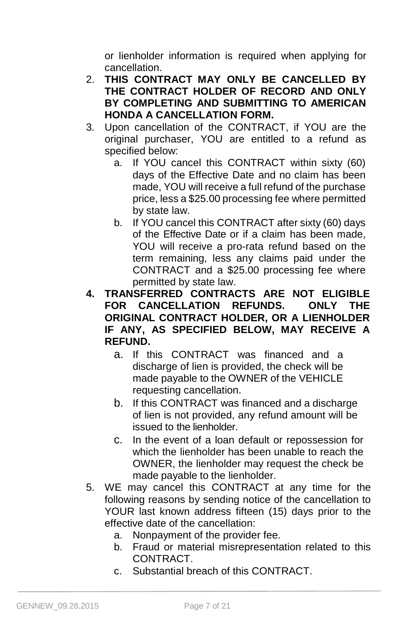or lienholder information is required when applying for cancellation.

- 2. **THIS CONTRACT MAY ONLY BE CANCELLED BY THE CONTRACT HOLDER OF RECORD AND ONLY BY COMPLETING AND SUBMITTING TO AMERICAN HONDA A CANCELLATION FORM.**
- 3. Upon cancellation of the CONTRACT, if YOU are the original purchaser, YOU are entitled to a refund as specified below:
	- a. If YOU cancel this CONTRACT within sixty (60) days of the Effective Date and no claim has been made, YOU will receive a full refund of the purchase price, less a \$25.00 processing fee where permitted by state law.
	- b. If YOU cancel this CONTRACT after sixty (60) days of the Effective Date or if a claim has been made, YOU will receive a pro-rata refund based on the term remaining, less any claims paid under the CONTRACT and a \$25.00 processing fee where permitted by state law.
- **4. TRANSFERRED CONTRACTS ARE NOT ELIGIBLE FOR CANCELLATION REFUNDS. ONLY THE ORIGINAL CONTRACT HOLDER, OR A LIENHOLDER IF ANY, AS SPECIFIED BELOW, MAY RECEIVE A REFUND.**
	- a. If this CONTRACT was financed and a discharge of lien is provided, the check will be made payable to the OWNER of the VEHICLE requesting cancellation.
	- b. If this CONTRACT was financed and a discharge of lien is not provided, any refund amount will be issued to the lienholder.
	- c. In the event of a loan default or repossession for which the lienholder has been unable to reach the OWNER, the lienholder may request the check be made payable to the lienholder.
- 5. WE may cancel this CONTRACT at any time for the following reasons by sending notice of the cancellation to YOUR last known address fifteen (15) days prior to the effective date of the cancellation:
	- a. Nonpayment of the provider fee.
	- b. Fraud or material misrepresentation related to this CONTRACT.
	- c. Substantial breach of this CONTRACT.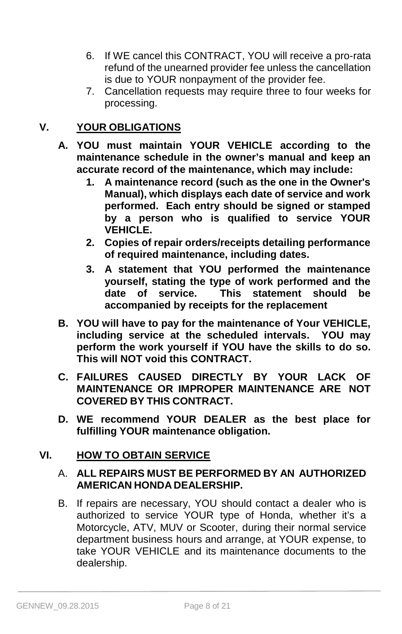- 6. If WE cancel this CONTRACT, YOU will receive a pro-rata refund of the unearned provider fee unless the cancellation is due to YOUR nonpayment of the provider fee.
- 7. Cancellation requests may require three to four weeks for processing.

### **V. YOUR OBLIGATIONS**

- **A. YOU must maintain YOUR VEHICLE according to the maintenance schedule in the owner's manual and keep an accurate record of the maintenance, which may include:**
	- **1. A maintenance record (such as the one in the Owner's Manual), which displays each date of service and work performed. Each entry should be signed or stamped by a person who is qualified to service YOUR VEHICLE.**
	- **2. Copies of repair orders/receipts detailing performance of required maintenance, including dates.**
	- **3. A statement that YOU performed the maintenance yourself, stating the type of work performed and the** This statement should be **accompanied by receipts for the replacement**
- **B. YOU will have to pay for the maintenance of Your VEHICLE, including service at the scheduled intervals. YOU may perform the work yourself if YOU have the skills to do so. This will NOT void this CONTRACT.**
- **C. FAILURES CAUSED DIRECTLY BY YOUR LACK OF MAINTENANCE OR IMPROPER MAINTENANCE ARE NOT COVERED BY THIS CONTRACT.**
- **D. WE recommend YOUR DEALER as the best place for fulfilling YOUR maintenance obligation.**

#### **VI. HOW TO OBTAIN SERVICE**

#### A. **ALL REPAIRS MUST BE PERFORMED BY AN AUTHORIZED AMERICAN HONDA DEALERSHIP.**

B. If repairs are necessary, YOU should contact a dealer who is authorized to service YOUR type of Honda, whether it's a Motorcycle, ATV, MUV or Scooter, during their normal service department business hours and arrange, at YOUR expense, to take YOUR VEHICLE and its maintenance documents to the dealership.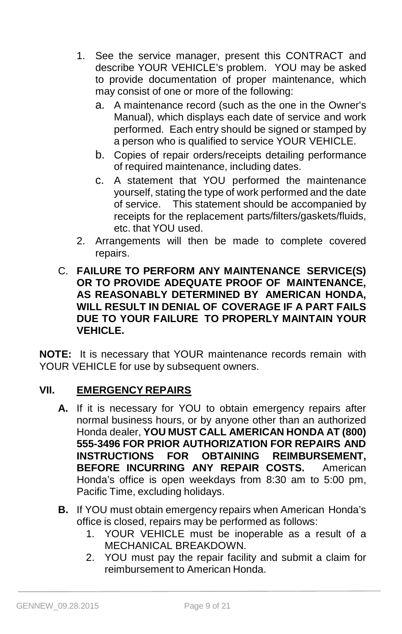- 1. See the service manager, present this CONTRACT and describe YOUR VEHICLE's problem. YOU may be asked to provide documentation of proper maintenance, which may consist of one or more of the following:
	- a. A maintenance record (such as the one in the Owner's Manual), which displays each date of service and work performed. Each entry should be signed or stamped by a person who is qualified to service YOUR VEHICLE.
	- b. Copies of repair orders/receipts detailing performance of required maintenance, including dates.
	- c. A statement that YOU performed the maintenance yourself, stating the type of work performed and the date of service. This statement should be accompanied by receipts for the replacement parts/filters/gaskets/fluids, etc. that YOU used.
- 2. Arrangements will then be made to complete covered repairs.
- C. **FAILURE TO PERFORM ANY MAINTENANCE SERVICE(S) OR TO PROVIDE ADEQUATE PROOF OF MAINTENANCE, AS REASONABLY DETERMINED BY AMERICAN HONDA, WILL RESULT IN DENIAL OF COVERAGE IF A PART FAILS DUE TO YOUR FAILURE TO PROPERLY MAINTAIN YOUR VEHICLE.**

**NOTE:** It is necessary that YOUR maintenance records remain with YOUR VEHICLE for use by subsequent owners.

#### **VII. EMERGENCY REPAIRS**

- **A.** If it is necessary for YOU to obtain emergency repairs after normal business hours, or by anyone other than an authorized Honda dealer, **YOU MUST CALL AMERICAN HONDA AT (800) 555-3496 FOR PRIOR AUTHORIZATION FOR REPAIRS AND INSTRUCTIONS FOR OBTAINING REIMBURSEMENT, BEFORE INCURRING ANY REPAIR COSTS.** American Honda's office is open weekdays from 8:30 am to 5:00 pm, Pacific Time, excluding holidays.
- **B.** If YOU must obtain emergency repairs when American Honda's office is closed, repairs may be performed as follows:
	- 1. YOUR VEHICLE must be inoperable as a result of a MECHANICAL BREAKDOWN.
	- 2. YOU must pay the repair facility and submit a claim for reimbursement to American Honda.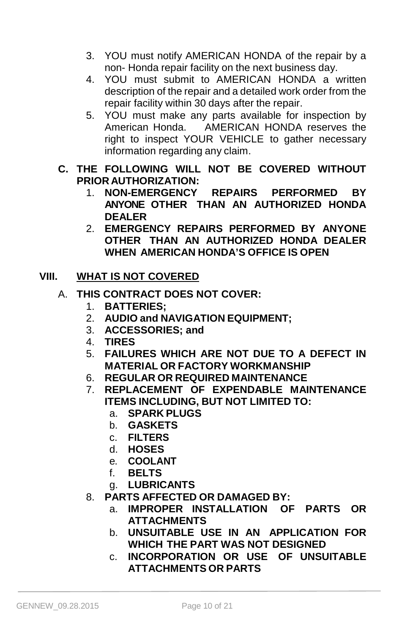- 3. YOU must notify AMERICAN HONDA of the repair by a non- Honda repair facility on the next business day.
- 4. YOU must submit to AMERICAN HONDA a written description of the repair and a detailed work order from the repair facility within 30 days after the repair.
- 5. YOU must make any parts available for inspection by American Honda. AMERICAN HONDA reserves the right to inspect YOUR VEHICLE to gather necessary information regarding any claim.
- **C. THE FOLLOWING WILL NOT BE COVERED WITHOUT PRIOR AUTHORIZATION:**
	- 1. **NON-EMERGENCY REPAIRS PERFORMED BY ANYONE OTHER THAN AN AUTHORIZED HONDA DEALER**
	- 2. **EMERGENCY REPAIRS PERFORMED BY ANYONE OTHER THAN AN AUTHORIZED HONDA DEALER WHEN AMERICAN HONDA'S OFFICE IS OPEN**

# **VIII. WHAT IS NOT COVERED**

- A. **THIS CONTRACT DOES NOT COVER:**
	- 1. **BATTERIES;**
	- 2. **AUDIO and NAVIGATION EQUIPMENT;**
	- 3. **ACCESSORIES; and**
	- 4. **TIRES**
	- 5. **FAILURES WHICH ARE NOT DUE TO A DEFECT IN MATERIAL OR FACTORY WORKMANSHIP**
	- 6. **REGULAR OR REQUIRED MAINTENANCE**
	- 7. **REPLACEMENT OF EXPENDABLE MAINTENANCE ITEMS INCLUDING, BUT NOT LIMITED TO:**
		- a. **SPARK PLUGS**
		- b. **GASKETS**
		- c. **FILTERS**
		- d. **HOSES**
		- e. **COOLANT**
		- f. **BELTS**
		- g. **LUBRICANTS**
	- 8. **PARTS AFFECTED OR DAMAGED BY:**
		- a. **IMPROPER INSTALLATION OF PARTS OR ATTACHMENTS**
		- b. **UNSUITABLE USE IN AN APPLICATION FOR WHICH THE PART WAS NOT DESIGNED**
		- c. **INCORPORATION OR USE OF UNSUITABLE ATTACHMENTS OR PARTS**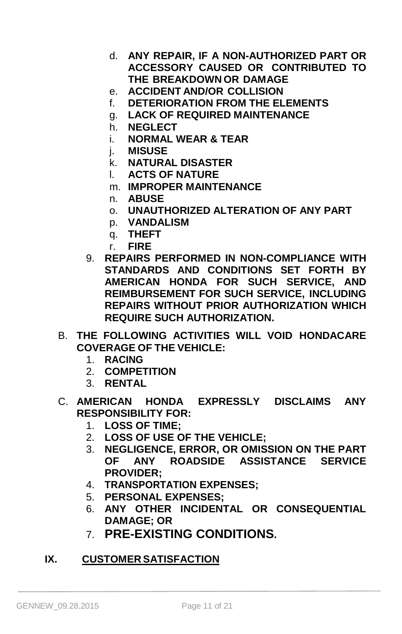- d. **ANY REPAIR, IF A NON-AUTHORIZED PART OR ACCESSORY CAUSED OR CONTRIBUTED TO THE BREAKDOWN OR DAMAGE**
- e. **ACCIDENT AND/OR COLLISION**
- f. **DETERIORATION FROM THE ELEMENTS**
- g. **LACK OF REQUIRED MAINTENANCE**
- h. **NEGLECT**
- i. **NORMAL WEAR & TEAR**
- j. **MISUSE**
- k. **NATURAL DISASTER**
- l. **ACTS OF NATURE**
- m. **IMPROPER MAINTENANCE**
- n. **ABUSE**
- o. **UNAUTHORIZED ALTERATION OF ANY PART**
- p. **VANDALISM**
- q. **THEFT**
- r. **FIRE**
- 9. **REPAIRS PERFORMED IN NON-COMPLIANCE WITH STANDARDS AND CONDITIONS SET FORTH BY AMERICAN HONDA FOR SUCH SERVICE, AND REIMBURSEMENT FOR SUCH SERVICE, INCLUDING REPAIRS WITHOUT PRIOR AUTHORIZATION WHICH REQUIRE SUCH AUTHORIZATION.**
- B. **THE FOLLOWING ACTIVITIES WILL VOID HONDACARE COVERAGE OF THE VEHICLE:**
	- 1. **RACING**
	- 2. **COMPETITION**
	- 3. **RENTAL**
- C. **AMERICAN HONDA EXPRESSLY DISCLAIMS ANY RESPONSIBILITY FOR:**
	- 1. **LOSS OF TIME;**
	- 2. **LOSS OF USE OF THE VEHICLE;**
	- 3. **NEGLIGENCE, ERROR, OR OMISSION ON THE PART OF ANY ROADSIDE ASSISTANCE SERVICE PROVIDER;**
	- 4. **TRANSPORTATION EXPENSES;**
	- 5. **PERSONAL EXPENSES;**
	- 6. **ANY OTHER INCIDENTAL OR CONSEQUENTIAL DAMAGE; OR**
	- 7. **PRE-EXISTING CONDITIONS.**

#### **IX. CUSTOMER SATISFACTION**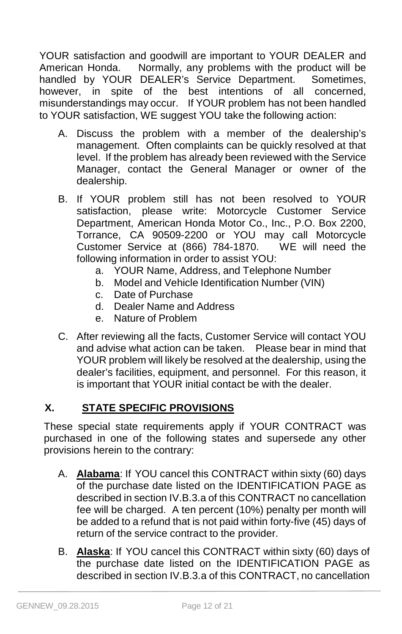YOUR satisfaction and goodwill are important to YOUR DEALER and American Honda. Normally, any problems with the product will be handled by YOUR DEALER's Service Department. Sometimes, however, in spite of the best intentions of all concerned, misunderstandings may occur. If YOUR problem has not been handled to YOUR satisfaction, WE suggest YOU take the following action:

- A. Discuss the problem with a member of the dealership's management. Often complaints can be quickly resolved at that level. If the problem has already been reviewed with the Service Manager, contact the General Manager or owner of the dealership.
- B. If YOUR problem still has not been resolved to YOUR satisfaction, please write: Motorcycle Customer Service Department, American Honda Motor Co., Inc., P.O. Box 2200, Torrance, CA 90509-2200 or YOU may call Motorcycle Customer Service at (866) 784-1870. following information in order to assist YOU:
	- a. YOUR Name, Address, and Telephone Number
	- b. Model and Vehicle Identification Number (VIN)
	- c. Date of Purchase
	- d. Dealer Name and Address
	- e. Nature of Problem
- C. After reviewing all the facts, Customer Service will contact YOU and advise what action can be taken. Please bear in mind that YOUR problem will likely be resolved at the dealership, using the dealer's facilities, equipment, and personnel. For this reason, it is important that YOUR initial contact be with the dealer.

#### **X. STATE SPECIFIC PROVISIONS**

These special state requirements apply if YOUR CONTRACT was purchased in one of the following states and supersede any other provisions herein to the contrary:

- A. **Alabama**: If YOU cancel this CONTRACT within sixty (60) days of the purchase date listed on the IDENTIFICATION PAGE as described in section IV.B.3.a of this CONTRACT no cancellation fee will be charged. A ten percent (10%) penalty per month will be added to a refund that is not paid within forty-five (45) days of return of the service contract to the provider.
- B. **Alaska**: If YOU cancel this CONTRACT within sixty (60) days of the purchase date listed on the IDENTIFICATION PAGE as described in section IV.B.3.a of this CONTRACT, no cancellation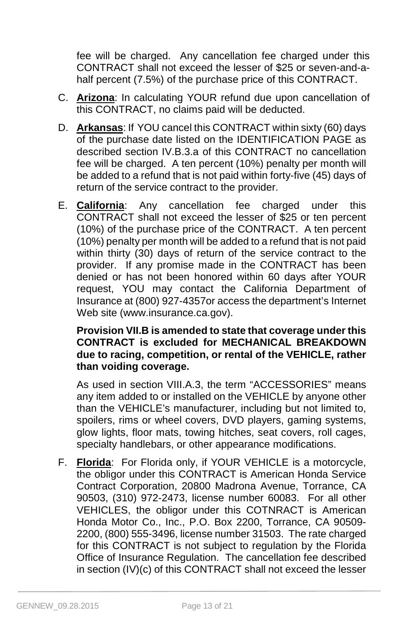fee will be charged. Any cancellation fee charged under this CONTRACT shall not exceed the lesser of \$25 or seven-and-ahalf percent (7.5%) of the purchase price of this CONTRACT.

- C. **Arizona**: In calculating YOUR refund due upon cancellation of this CONTRACT, no claims paid will be deducted.
- D. **Arkansas**: If YOU cancel this CONTRACT within sixty (60) days of the purchase date listed on the IDENTIFICATION PAGE as described section IV.B.3.a of this CONTRACT no cancellation fee will be charged. A ten percent (10%) penalty per month will be added to a refund that is not paid within forty-five (45) days of return of the service contract to the provider.
- E. **California**: Any cancellation fee charged under this CONTRACT shall not exceed the lesser of \$25 or ten percent (10%) of the purchase price of the CONTRACT. A ten percent (10%) penalty per month will be added to a refund that is not paid within thirty (30) days of return of the service contract to the provider. If any promise made in the CONTRACT has been denied or has not been honored within 60 days after YOUR request, YOU may contact the California Department of Insurance at (800) 927-4357or access the department's Internet Web site (www.insurance.ca.gov).

#### **Provision VII.B is amended to state that coverage under this CONTRACT is excluded for MECHANICAL BREAKDOWN due to racing, competition, or rental of the VEHICLE, rather than voiding coverage.**

As used in section VIII.A.3, the term "ACCESSORIES" means any item added to or installed on the VEHICLE by anyone other than the VEHICLE's manufacturer, including but not limited to, spoilers, rims or wheel covers, DVD players, gaming systems, glow lights, floor mats, towing hitches, seat covers, roll cages, specialty handlebars, or other appearance modifications.

F. **Florida**: For Florida only, if YOUR VEHICLE is a motorcycle, the obligor under this CONTRACT is American Honda Service Contract Corporation, 20800 Madrona Avenue, Torrance, CA 90503, (310) 972-2473, license number 60083. For all other VEHICLES, the obligor under this COTNRACT is American Honda Motor Co., Inc., P.O. Box 2200, Torrance, CA 90509- 2200, (800) 555-3496, license number 31503. The rate charged for this CONTRACT is not subject to regulation by the Florida Office of Insurance Regulation. The cancellation fee described in section (IV)(c) of this CONTRACT shall not exceed the lesser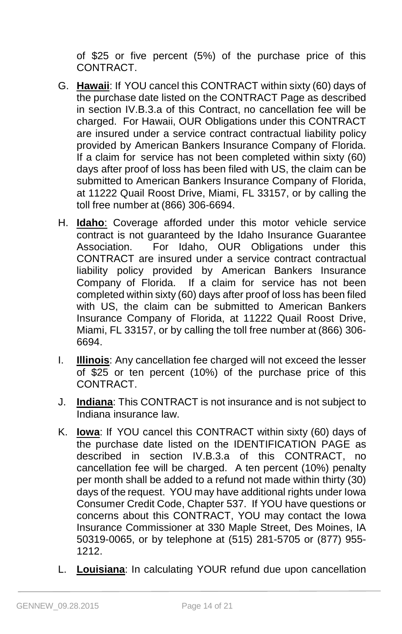of \$25 or five percent (5%) of the purchase price of this CONTRACT.

- G. **Hawaii**: If YOU cancel this CONTRACT within sixty (60) days of the purchase date listed on the CONTRACT Page as described in section IV.B.3.a of this Contract, no cancellation fee will be charged. For Hawaii, OUR Obligations under this CONTRACT are insured under a service contract contractual liability policy provided by American Bankers Insurance Company of Florida. If a claim for service has not been completed within sixty (60) days after proof of loss has been filed with US, the claim can be submitted to American Bankers Insurance Company of Florida, at 11222 Quail Roost Drive, Miami, FL 33157, or by calling the toll free number at (866) 306-6694.
- H. **Idaho**: Coverage afforded under this motor vehicle service contract is not guaranteed by the Idaho Insurance Guarantee Association. For Idaho, OUR Obligations under this CONTRACT are insured under a service contract contractual liability policy provided by American Bankers Insurance Company of Florida. If a claim for service has not been completed within sixty (60) days after proof of loss has been filed with US, the claim can be submitted to American Bankers Insurance Company of Florida, at 11222 Quail Roost Drive, Miami, FL 33157, or by calling the toll free number at (866) 306- 6694.
- I. **Illinois**: Any cancellation fee charged will not exceed the lesser of \$25 or ten percent (10%) of the purchase price of this CONTRACT.
- J. **Indiana**: This CONTRACT is not insurance and is not subject to Indiana insurance law.
- K. **Iowa**: If YOU cancel this CONTRACT within sixty (60) days of the purchase date listed on the IDENTIFICATION PAGE as described in section IV.B.3.a of this CONTRACT, no cancellation fee will be charged. A ten percent (10%) penalty per month shall be added to a refund not made within thirty (30) days of the request. YOU may have additional rights under Iowa Consumer Credit Code, Chapter 537. If YOU have questions or concerns about this CONTRACT, YOU may contact the Iowa Insurance Commissioner at 330 Maple Street, Des Moines, IA 50319-0065, or by telephone at (515) 281-5705 or (877) 955- 1212.
- L. **Louisiana**: In calculating YOUR refund due upon cancellation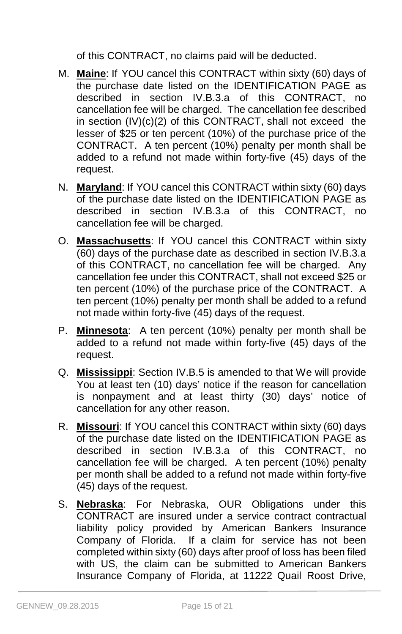of this CONTRACT, no claims paid will be deducted.

- M. **Maine**: If YOU cancel this CONTRACT within sixty (60) days of the purchase date listed on the IDENTIFICATION PAGE as described in section IV.B.3.a of this CONTRACT, no cancellation fee will be charged. The cancellation fee described in section (IV)(c)(2) of this CONTRACT, shall not exceed the lesser of \$25 or ten percent (10%) of the purchase price of the CONTRACT. A ten percent (10%) penalty per month shall be added to a refund not made within forty-five (45) days of the request.
- N. **Maryland**: If YOU cancel this CONTRACT within sixty (60) days of the purchase date listed on the IDENTIFICATION PAGE as described in section IV.B.3.a of this CONTRACT, no cancellation fee will be charged.
- O. **Massachusetts**: If YOU cancel this CONTRACT within sixty (60) days of the purchase date as described in section IV.B.3.a of this CONTRACT, no cancellation fee will be charged. Any cancellation fee under this CONTRACT, shall not exceed \$25 or ten percent (10%) of the purchase price of the CONTRACT. A ten percent (10%) penalty per month shall be added to a refund not made within forty-five (45) days of the request.
- P. **Minnesota**: A ten percent (10%) penalty per month shall be added to a refund not made within forty-five (45) days of the request.
- Q. **Mississippi**: Section IV.B.5 is amended to that We will provide You at least ten (10) days' notice if the reason for cancellation is nonpayment and at least thirty (30) days' notice of cancellation for any other reason.
- R. **Missouri**: If YOU cancel this CONTRACT within sixty (60) days of the purchase date listed on the IDENTIFICATION PAGE as described in section IV.B.3.a of this CONTRACT, no cancellation fee will be charged. A ten percent (10%) penalty per month shall be added to a refund not made within forty-five (45) days of the request.
- S. **Nebraska**: For Nebraska, OUR Obligations under this CONTRACT are insured under a service contract contractual liability policy provided by American Bankers Insurance Company of Florida. If a claim for service has not been completed within sixty (60) days after proof of loss has been filed with US, the claim can be submitted to American Bankers Insurance Company of Florida, at 11222 Quail Roost Drive,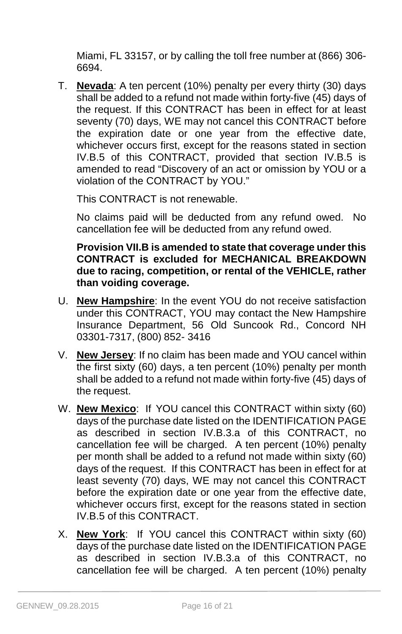Miami, FL 33157, or by calling the toll free number at (866) 306- 6694.

T. **Nevada**: A ten percent (10%) penalty per every thirty (30) days shall be added to a refund not made within forty-five (45) days of the request. If this CONTRACT has been in effect for at least seventy (70) days, WE may not cancel this CONTRACT before the expiration date or one year from the effective date, whichever occurs first, except for the reasons stated in section IV.B.5 of this CONTRACT, provided that section IV.B.5 is amended to read "Discovery of an act or omission by YOU or a violation of the CONTRACT by YOU."

This CONTRACT is not renewable.

No claims paid will be deducted from any refund owed. No cancellation fee will be deducted from any refund owed.

**Provision VII.B is amended to state that coverage under this CONTRACT is excluded for MECHANICAL BREAKDOWN due to racing, competition, or rental of the VEHICLE, rather than voiding coverage.**

- U. **New Hampshire**: In the event YOU do not receive satisfaction under this CONTRACT, YOU may contact the New Hampshire Insurance Department, 56 Old Suncook Rd., Concord NH 03301-7317, (800) 852- 3416
- V. **New Jersey**: If no claim has been made and YOU cancel within the first sixty (60) days, a ten percent (10%) penalty per month shall be added to a refund not made within forty-five (45) days of the request.
- W. **New Mexico**: If YOU cancel this CONTRACT within sixty (60) days of the purchase date listed on the IDENTIFICATION PAGE as described in section IV.B.3.a of this CONTRACT, no cancellation fee will be charged. A ten percent (10%) penalty per month shall be added to a refund not made within sixty (60) days of the request. If this CONTRACT has been in effect for at least seventy (70) days, WE may not cancel this CONTRACT before the expiration date or one year from the effective date, whichever occurs first, except for the reasons stated in section IV.B.5 of this CONTRACT.
- X. **New York**: If YOU cancel this CONTRACT within sixty (60) days of the purchase date listed on the IDENTIFICATION PAGE as described in section IV.B.3.a of this CONTRACT, no cancellation fee will be charged. A ten percent (10%) penalty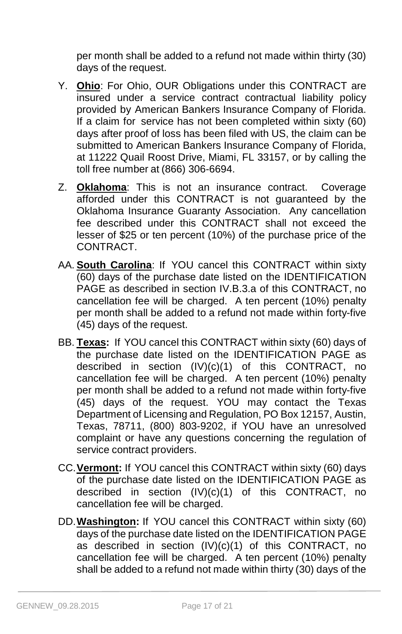per month shall be added to a refund not made within thirty (30) days of the request.

- Y. **Ohio**: For Ohio, OUR Obligations under this CONTRACT are insured under a service contract contractual liability policy provided by American Bankers Insurance Company of Florida. If a claim for service has not been completed within sixty (60) days after proof of loss has been filed with US, the claim can be submitted to American Bankers Insurance Company of Florida, at 11222 Quail Roost Drive, Miami, FL 33157, or by calling the toll free number at (866) 306-6694.
- Z. **Oklahoma**: This is not an insurance contract. Coverage afforded under this CONTRACT is not guaranteed by the Oklahoma Insurance Guaranty Association. Any cancellation fee described under this CONTRACT shall not exceed the lesser of \$25 or ten percent (10%) of the purchase price of the **CONTRACT**
- AA. **South Carolina**: If YOU cancel this CONTRACT within sixty (60) days of the purchase date listed on the IDENTIFICATION PAGE as described in section IV.B.3.a of this CONTRACT, no cancellation fee will be charged. A ten percent (10%) penalty per month shall be added to a refund not made within forty-five (45) days of the request.
- BB. **Texas:** If YOU cancel this CONTRACT within sixty (60) days of the purchase date listed on the IDENTIFICATION PAGE as described in section (IV)(c)(1) of this CONTRACT, no cancellation fee will be charged. A ten percent (10%) penalty per month shall be added to a refund not made within forty-five (45) days of the request. YOU may contact the Texas Department of Licensing and Regulation, PO Box 12157, Austin, Texas, 78711, (800) 803-9202, if YOU have an unresolved complaint or have any questions concerning the regulation of service contract providers.
- CC.**Vermont:** If YOU cancel this CONTRACT within sixty (60) days of the purchase date listed on the IDENTIFICATION PAGE as described in section (IV)(c)(1) of this CONTRACT, no cancellation fee will be charged.
- DD.**Washington:** If YOU cancel this CONTRACT within sixty (60) days of the purchase date listed on the IDENTIFICATION PAGE as described in section (IV)(c)(1) of this CONTRACT, no cancellation fee will be charged. A ten percent (10%) penalty shall be added to a refund not made within thirty (30) days of the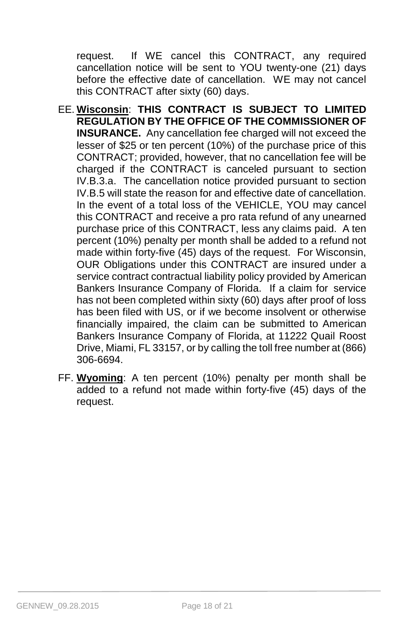request. If WE cancel this CONTRACT, any required cancellation notice will be sent to YOU twenty-one (21) days before the effective date of cancellation. WE may not cancel this CONTRACT after sixty (60) days.

- EE. **Wisconsin**: **THIS CONTRACT IS SUBJECT TO LIMITED REGULATION BY THE OFFICE OF THE COMMISSIONER OF INSURANCE.** Any cancellation fee charged will not exceed the lesser of \$25 or ten percent (10%) of the purchase price of this CONTRACT; provided, however, that no cancellation fee will be charged if the CONTRACT is canceled pursuant to section IV.B.3.a. The cancellation notice provided pursuant to section IV.B.5 will state the reason for and effective date of cancellation. In the event of a total loss of the VEHICLE, YOU may cancel this CONTRACT and receive a pro rata refund of any unearned purchase price of this CONTRACT, less any claims paid. A ten percent (10%) penalty per month shall be added to a refund not made within forty-five (45) days of the request. For Wisconsin, OUR Obligations under this CONTRACT are insured under a service contract contractual liability policy provided by American Bankers Insurance Company of Florida. If a claim for service has not been completed within sixty (60) days after proof of loss has been filed with US, or if we become insolvent or otherwise financially impaired, the claim can be submitted to American Bankers Insurance Company of Florida, at 11222 Quail Roost Drive, Miami, FL 33157, or by calling the toll free number at (866) 306-6694.
- FF. **Wyoming**: A ten percent (10%) penalty per month shall be added to a refund not made within forty-five (45) days of the request.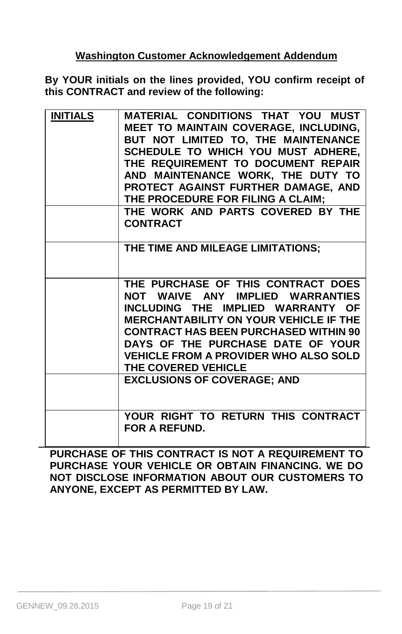#### **Washington Customer Acknowledgement Addendum**

**By YOUR initials on the lines provided, YOU confirm receipt of this CONTRACT and review of the following:**

| <b>INITIALS</b> | MATERIAL CONDITIONS THAT YOU MUST<br>MEET TO MAINTAIN COVERAGE, INCLUDING,<br>BUT NOT LIMITED TO, THE MAINTENANCE<br>SCHEDULE TO WHICH YOU MUST ADHERE,<br>THE REQUIREMENT TO DOCUMENT REPAIR<br>AND MAINTENANCE WORK, THE DUTY TO<br>PROTECT AGAINST FURTHER DAMAGE, AND<br>THE PROCEDURE FOR FILING A CLAIM;<br>THE WORK AND PARTS COVERED BY THE<br><b>CONTRACT</b> |
|-----------------|------------------------------------------------------------------------------------------------------------------------------------------------------------------------------------------------------------------------------------------------------------------------------------------------------------------------------------------------------------------------|
|                 | THE TIME AND MILEAGE LIMITATIONS;                                                                                                                                                                                                                                                                                                                                      |
|                 | THE PURCHASE OF THIS CONTRACT DOES<br>NOT WAIVE ANY IMPLIED WARRANTIES<br>INCLUDING THE IMPLIED WARRANTY OF<br><b>MERCHANTABILITY ON YOUR VEHICLE IF THE</b><br><b>CONTRACT HAS BEEN PURCHASED WITHIN 90</b><br>DAYS OF THE PURCHASE DATE OF YOUR<br><b>VEHICLE FROM A PROVIDER WHO ALSO SOLD</b><br>THE COVERED VEHICLE<br><b>EXCLUSIONS OF COVERAGE; AND</b>         |
|                 | YOUR RIGHT TO RETURN THIS CONTRACT<br>FOR A REFUND.                                                                                                                                                                                                                                                                                                                    |

**PURCHASE OF THIS CONTRACT IS NOT A REQUIREMENT TO PURCHASE YOUR VEHICLE OR OBTAIN FINANCING. WE DO NOT DISCLOSE INFORMATION ABOUT OUR CUSTOMERS TO ANYONE, EXCEPT AS PERMITTED BY LAW.**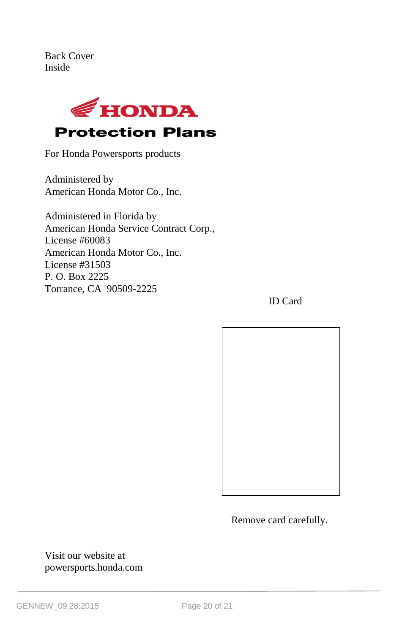Back Cover Inside



For Honda Powersports products

Administered by American Honda Motor Co., Inc.

Administered in Florida by American Honda Service Contract Corp., License #60083 American Honda Motor Co., Inc. License #31503 P. O. Box 2225 Torrance, CA 90509-2225

ID Card

Remove card carefully.

Visit our website at powersports.honda.com